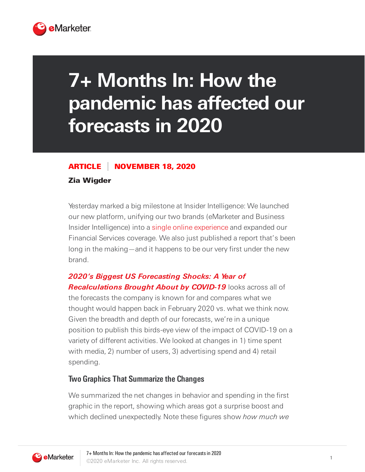

# **7+ Months In: How the pandemic has affected our forecasts in 2020**

#### ARTICLE NOVEMBER 18, 2020

#### Zia Wigder

Yesterday marked a big milestone at Insider Intelligence: We launched our new platform, unifying our two brands (eMarketer and Business Insider Intelligence) into a single online [experience](https://www.insiderintelligence.com/) and expanded our Financial Services coverage. We also just published a report that's been long in the making—and it happens to be our very first under the new brand.

# **2020's Biggest US Forecasting Shocks: A Year of Recalculations Brought About by COVID-19** looks across all of the forecasts the company is known for and compares what we thought would happen back in February 2020 vs. what we think now. Given the breadth and depth of our forecasts, we're in a unique position to publish this birds-eye view of the impact of COVID-19 on a variety of different activities. We looked at changes in 1) time spent with media, 2) number of users, 3) advertising spend and 4) retail spending.

## **Two Graphics That Summarize the Changes**

We summarized the net changes in behavior and spending in the first graphic in the report, showing which areas got a surprise boost and which declined unexpectedly. Note these figures show how much we

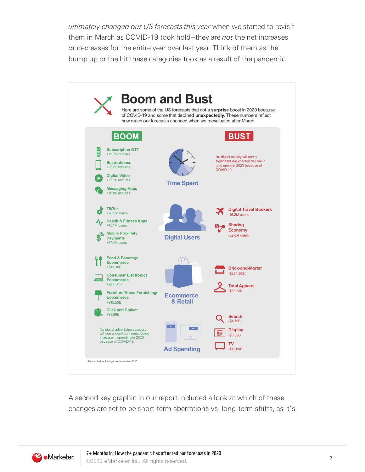ultimately changed our US forecasts this year when we started to revisit them in March as COVID-19 took hold--they are *not* the net increases or decreases for the entire year over last year. Think of them as the bump up or the hit these categories took as a result of the pandemic.



A second key graphic in our report included a look at which of these changes are set to be short-term aberrations vs. long-term shifts, as it's

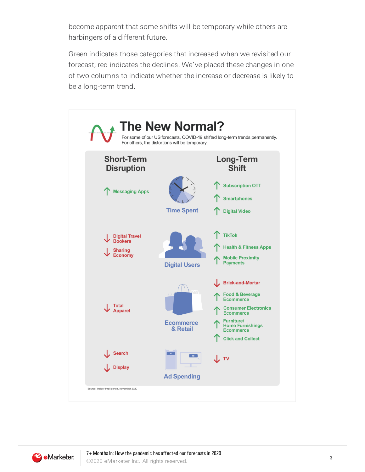become apparent that some shifts will be temporary while others are harbingers of a different future.

Green indicates those categories that increased when we revisited our forecast; red indicates the declines. We've placed these changes in one of two columns to indicate whether the increase or decrease is likely to be a long-term trend.

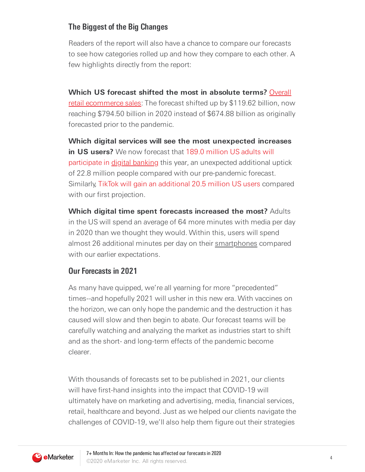# **The Biggest of the Big Changes**

Readers of the report will also have a chance to compare our forecasts to see how categories rolled up and how they compare to each other. A few highlights directly from the report:

**Which US forecast shifted the most in absolute terms?** Overall retail ecommerce sales: The forecast shifted up by \$119.62 billion, now reaching \$794.50 billion in 2020 instead of \$674.88 billion as originally forecasted prior to the pandemic.

**Which digital services will see the most unexpected increases in US users?** We now forecast that 189.0 million US adults will participate in digital banking this year, an [unexpected](https://forecasts-na2.emarketer.com/584b26021403070290f93a1f/5851918a0626310a2c1869ce) additional uptick of 22.8 million people compared with our pre-pandemic forecast. Similarly, TikTok will gain an additional 20.5 million US users compared with our first projection.

**Which digital time spent forecasts increased the most?** Adults in the US will spend an average of 64 more minutes with media per day in 2020 than we thought they would. Within this, users will spend almost 26 additional minutes per day on their smartphones compared with our earlier expectations.

## **Our Forecasts in 2021**

As many have quipped, we're all yearning for more "precedented" times--and hopefully 2021 will usher in this new era. With vaccines on the horizon, we can only hope the pandemic and the destruction it has caused will slow and then begin to abate. Our forecast teams will be carefully watching and analyzing the market as industries start to shift and as the short- and long-term effects of the pandemic become clearer.

With thousands of forecasts set to be published in 2021, our clients will have first-hand insights into the impact that COVID-19 will ultimately have on marketing and advertising, media, financial services, retail, healthcare and beyond. Just as we helped our clients navigate the challenges of COVID-19, we'll also help them figure out their strategies